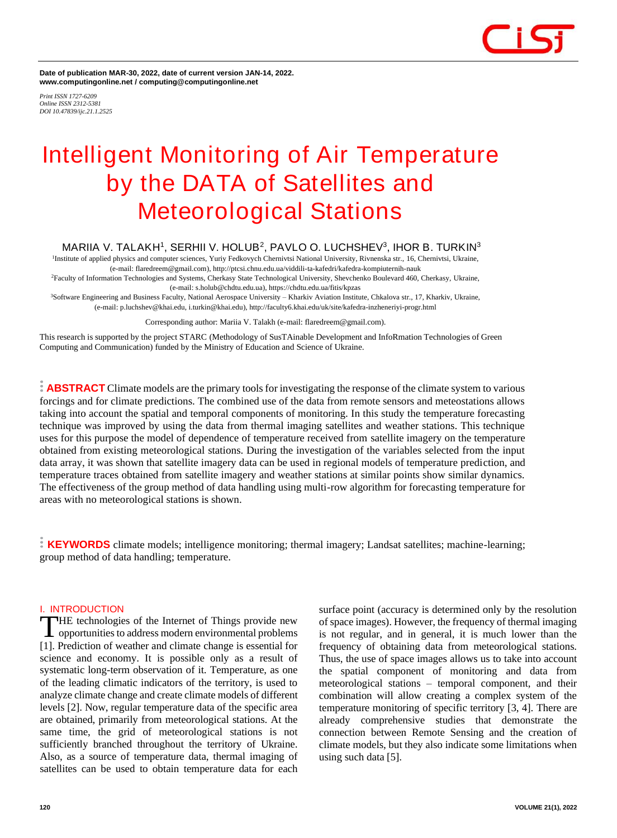

**Date of publication MAR-30, 2022, date of current version JAN-14, 2022. www.computingonline.net / computing@computingonline.net**

*Print ISSN 1727-6209 Online ISSN 2312-5381 DOI 10.47839/ijc.21.1.2525*

# **Intelligent Monitoring of Air Temperature by the DATA of Satellites and Meteorological Stations**

## **MARIIA V. TALAKH<sup>1</sup> , SERHII V. HOLUB<sup>2</sup> , PAVLO O. LUCHSHEV<sup>3</sup> , IHOR B. TURKIN<sup>3</sup>**

1 Institute of applied physics and computer sciences, Yuriy Fedkovych Chernivtsi National University, Rivnenska str., 16, Chernivtsi, Ukraine, (e-mail: flaredreem@gmail.com), http://ptcsi.chnu.edu.ua/viddili-ta-kafedri/kafedra-kompiuternih-nauk <sup>2</sup>Faculty of Information Technologies and Systems, Cherkasy State Technological University, Shevchenko Boulevard 460, Cherkasy, Ukraine,

(e-mail: s.holub@chdtu.edu.ua), https://chdtu.edu.ua/fitis/kpzas <sup>3</sup>Software Engineering and Business Faculty, National Aerospace University – Kharkiv Aviation Institute, Chkalova str., 17, Kharkiv, Ukraine, (e-mail: p.luchshev@khai.edu, i.turkin@khai.edu), http://faculty6.khai.edu/uk/site/kafedra-inzheneriyi-progr.html

Corresponding author: Mariia V. Talakh (e-mail: flaredreem@gmail.com).

This research is supported by the project STARC (Methodology of SusTAinable Development and InfoRmation Technologies of Green Computing and Communication) funded by the Ministry of Education and Science of Ukraine.

**ABSTRACT** Climate models are the primary tools for investigating the response of the climate system to various forcings and for climate predictions. The combined use of the data from remote sensors and meteostations allows taking into account the spatial and temporal components of monitoring. In this study the temperature forecasting technique was improved by using the data from thermal imaging satellites and weather stations. This technique uses for this purpose the model of dependence of temperature received from satellite imagery on the temperature obtained from existing meteorological stations. During the investigation of the variables selected from the input data array, it was shown that satellite imagery data can be used in regional models of temperature prediction, and temperature traces obtained from satellite imagery and weather stations at similar points show similar dynamics. The effectiveness of the group method of data handling using multi-row algorithm for forecasting temperature for areas with no meteorological stations is shown.

**KEYWORDS** climate models; intelligence monitoring; thermal imagery; Landsat satellites; machine-learning; group method of data handling; temperature.

#### **I. INTRODUCTION**

HE technologies of the Internet of Things provide new opportunities to address modern environmental problems THE technologies of the Internet of Things provide new<br>opportunities to address modern environmental problems<br>[1]. Prediction of weather and climate change is essential for science and economy. It is possible only as a result of systematic long-term observation of it. Temperature, as one of the leading climatic indicators of the territory, is used to analyze climate change and create climate models of different levels [2]. Now, regular temperature data of the specific area are obtained, primarily from meteorological stations. At the same time, the grid of meteorological stations is not sufficiently branched throughout the territory of Ukraine. Also, as a source of temperature data, thermal imaging of satellites can be used to obtain temperature data for each

surface point (accuracy is determined only by the resolution of space images). However, the frequency of thermal imaging is not regular, and in general, it is much lower than the frequency of obtaining data from meteorological stations. Thus, the use of space images allows us to take into account the spatial component of monitoring and data from meteorological stations – temporal component, and their combination will allow creating a complex system of the temperature monitoring of specific territory [3, 4]. There are already comprehensive studies that demonstrate the connection between Remote Sensing and the creation of climate models, but they also indicate some limitations when using such data [5].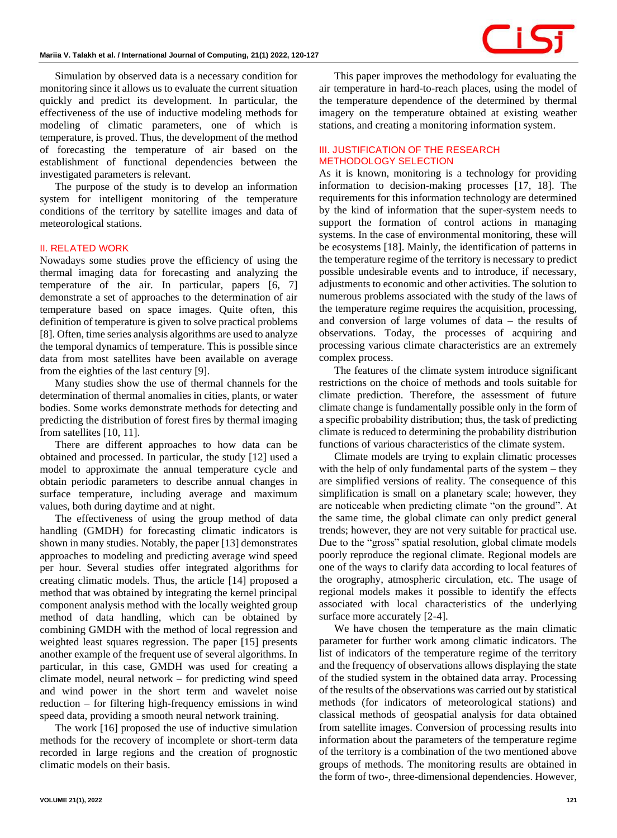Simulation by observed data is a necessary condition for monitoring since it allows us to evaluate the current situation quickly and predict its development. In particular, the effectiveness of the use of inductive modeling methods for modeling of climatic parameters, one of which is temperature, is proved. Thus, the development of the method of forecasting the temperature of air based on the establishment of functional dependencies between the investigated parameters is relevant.

The purpose of the study is to develop an information system for intelligent monitoring of the temperature conditions of the territory by satellite images and data of meteorological stations.

#### **II. RELATED WORK**

Nowadays some studies prove the efficiency of using the thermal imaging data for forecasting and analyzing the temperature of the air. In particular, papers [6, 7] demonstrate a set of approaches to the determination of air temperature based on space images. Quite often, this definition of temperature is given to solve practical problems [8]. Often, time series analysis algorithms are used to analyze the temporal dynamics of temperature. This is possible since data from most satellites have been available on average from the eighties of the last century [9].

Many studies show the use of thermal channels for the determination of thermal anomalies in cities, plants, or water bodies. Some works demonstrate methods for detecting and predicting the distribution of forest fires by thermal imaging from satellites [10, 11].

There are different approaches to how data can be obtained and processed. In particular, the study [12] used a model to approximate the annual temperature cycle and obtain periodic parameters to describe annual changes in surface temperature, including average and maximum values, both during daytime and at night.

The effectiveness of using the group method of data handling (GMDH) for forecasting climatic indicators is shown in many studies. Notably, the paper [13] demonstrates approaches to modeling and predicting average wind speed per hour. Several studies offer integrated algorithms for creating climatic models. Thus, the article [14] proposed a method that was obtained by integrating the kernel principal component analysis method with the locally weighted group method of data handling, which can be obtained by combining GMDH with the method of local regression and weighted least squares regression. The paper [15] presents another example of the frequent use of several algorithms. In particular, in this case, GMDH was used for creating a climate model, neural network – for predicting wind speed and wind power in the short term and wavelet noise reduction – for filtering high-frequency emissions in wind speed data, providing a smooth neural network training.

The work [16] proposed the use of inductive simulation methods for the recovery of incomplete or short-term data recorded in large regions and the creation of prognostic climatic models on their basis.

This paper improves the methodology for evaluating the air temperature in hard-to-reach places, using the model of the temperature dependence of the determined by thermal imagery on the temperature obtained at existing weather stations, and creating a monitoring information system.

#### **III. JUSTIFICATION OF THE RESEARCH METHODOLOGY SELECTION**

As it is known, monitoring is a technology for providing information to decision-making processes [17, 18]. The requirements for this information technology are determined by the kind of information that the super-system needs to support the formation of control actions in managing systems. In the case of environmental monitoring, these will be ecosystems [18]. Mainly, the identification of patterns in the temperature regime of the territory is necessary to predict possible undesirable events and to introduce, if necessary, adjustments to economic and other activities. The solution to numerous problems associated with the study of the laws of the temperature regime requires the acquisition, processing, and conversion of large volumes of data – the results of observations. Today, the processes of acquiring and processing various climate characteristics are an extremely complex process.

The features of the climate system introduce significant restrictions on the choice of methods and tools suitable for climate prediction. Therefore, the assessment of future climate change is fundamentally possible only in the form of a specific probability distribution; thus, the task of predicting climate is reduced to determining the probability distribution functions of various characteristics of the climate system.

Climate models are trying to explain climatic processes with the help of only fundamental parts of the system – they are simplified versions of reality. The consequence of this simplification is small on a planetary scale; however, they are noticeable when predicting climate "on the ground". At the same time, the global climate can only predict general trends; however, they are not very suitable for practical use. Due to the "gross" spatial resolution, global climate models poorly reproduce the regional climate. Regional models are one of the ways to clarify data according to local features of the orography, atmospheric circulation, etc. The usage of regional models makes it possible to identify the effects associated with local characteristics of the underlying surface more accurately  $[2-4]$ .

We have chosen the temperature as the main climatic parameter for further work among climatic indicators. The list of indicators of the temperature regime of the territory and the frequency of observations allows displaying the state of the studied system in the obtained data array. Processing of the results of the observations was carried out by statistical methods (for indicators of meteorological stations) and classical methods of geospatial analysis for data obtained from satellite images. Conversion of processing results into information about the parameters of the temperature regime of the territory is a combination of the two mentioned above groups of methods. The monitoring results are obtained in the form of two-, three-dimensional dependencies. However,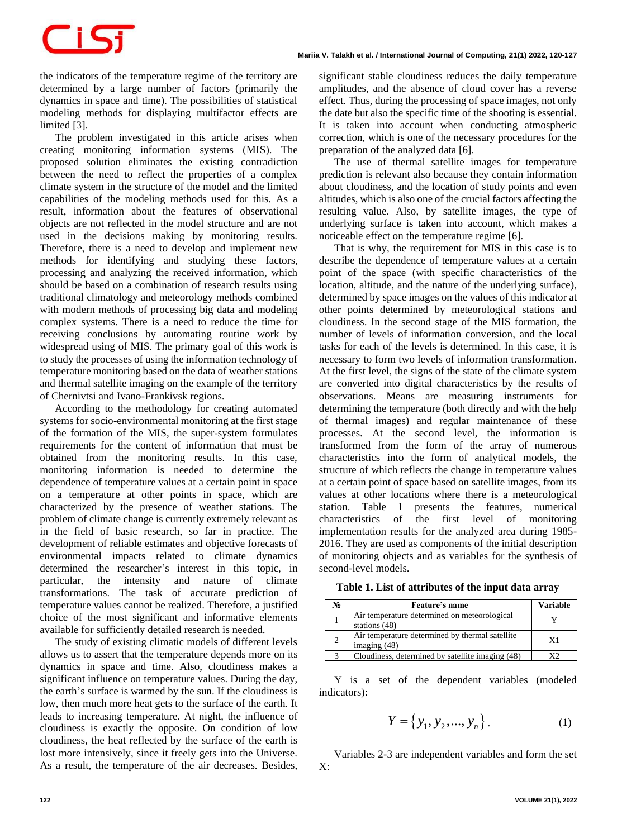# CIS:

the indicators of the temperature regime of the territory are determined by a large number of factors (primarily the dynamics in space and time). The possibilities of statistical modeling methods for displaying multifactor effects are limited [3].

The problem investigated in this article arises when creating monitoring information systems (MIS). The proposed solution eliminates the existing contradiction between the need to reflect the properties of a complex climate system in the structure of the model and the limited capabilities of the modeling methods used for this. As a result, information about the features of observational objects are not reflected in the model structure and are not used in the decisions making by monitoring results. Therefore, there is a need to develop and implement new methods for identifying and studying these factors, processing and analyzing the received information, which should be based on a combination of research results using traditional climatology and meteorology methods combined with modern methods of processing big data and modeling complex systems. There is a need to reduce the time for receiving conclusions by automating routine work by widespread using of MIS. The primary goal of this work is to study the processes of using the information technology of temperature monitoring based on the data of weather stations and thermal satellite imaging on the example of the territory of Chernivtsi and Ivano-Frankivsk regions.

According to the methodology for creating automated systems for socio-environmental monitoring at the first stage of the formation of the MIS, the super-system formulates requirements for the content of information that must be obtained from the monitoring results. In this case, monitoring information is needed to determine the dependence of temperature values at a certain point in space on a temperature at other points in space, which are characterized by the presence of weather stations. The problem of climate change is currently extremely relevant as in the field of basic research, so far in practice. The development of reliable estimates and objective forecasts of environmental impacts related to climate dynamics determined the researcher's interest in this topic, in particular, the intensity and nature of climate transformations. The task of accurate prediction of temperature values cannot be realized. Therefore, a justified choice of the most significant and informative elements available for sufficiently detailed research is needed.

The study of existing climatic models of different levels allows us to assert that the temperature depends more on its dynamics in space and time. Also, cloudiness makes a significant influence on temperature values. During the day, the earth's surface is warmed by the sun. If the cloudiness is low, then much more heat gets to the surface of the earth. It leads to increasing temperature. At night, the influence of cloudiness is exactly the opposite. On condition of low cloudiness, the heat reflected by the surface of the earth is lost more intensively, since it freely gets into the Universe. As a result, the temperature of the air decreases. Besides, significant stable cloudiness reduces the daily temperature amplitudes, and the absence of cloud cover has a reverse effect. Thus, during the processing of space images, not only the date but also the specific time of the shooting is essential. It is taken into account when conducting atmospheric correction, which is one of the necessary procedures for the preparation of the analyzed data [6].

The use of thermal satellite images for temperature prediction is relevant also because they contain information about cloudiness, and the location of study points and even altitudes, which is also one of the crucial factors affecting the resulting value. Also, by satellite images, the type of underlying surface is taken into account, which makes a noticeable effect on the temperature regime [6].

That is why, the requirement for MIS in this case is to describe the dependence of temperature values at a certain point of the space (with specific characteristics of the location, altitude, and the nature of the underlying surface), determined by space images on the values of this indicator at other points determined by meteorological stations and cloudiness. In the second stage of the MIS formation, the number of levels of information conversion, and the local tasks for each of the levels is determined. In this case, it is necessary to form two levels of information transformation. At the first level, the signs of the state of the climate system are converted into digital characteristics by the results of observations. Means are measuring instruments for determining the temperature (both directly and with the help of thermal images) and regular maintenance of these processes. At the second level, the information is transformed from the form of the array of numerous characteristics into the form of analytical models, the structure of which reflects the change in temperature values at a certain point of space based on satellite images, from its values at other locations where there is a meteorological station. Table 1 presents the features, numerical characteristics of the first level of monitoring implementation results for the analyzed area during 1985- 2016. They are used as components of the initial description of monitoring objects and as variables for the synthesis of second-level models. 1 presents the features, numerical<br>of the first level of monitoring<br>results for the analyzed area during 1985-<br>used as components of the initial description<br>bjects and as variables for the synthesis of<br>dels.<br>**xt** of attri

| Table 1. List of attributes of the input data array |  |  |  |  |
|-----------------------------------------------------|--|--|--|--|
|-----------------------------------------------------|--|--|--|--|

| No | Feature's name                                                    | <b>Variable</b> |
|----|-------------------------------------------------------------------|-----------------|
|    | Air temperature determined on meteorological<br>stations $(48)$   |                 |
|    | Air temperature determined by thermal satellite<br>imaging $(48)$ | X1              |
|    | Cloudiness, determined by satellite imaging (48)                  | xາ              |

Y is a set of the dependent variables (modeled indicators):

$$
Y = \{y_1, y_2, ..., y_n\}.
$$
 (1)

Variables 2-3 are independent variables and form the set  $X:$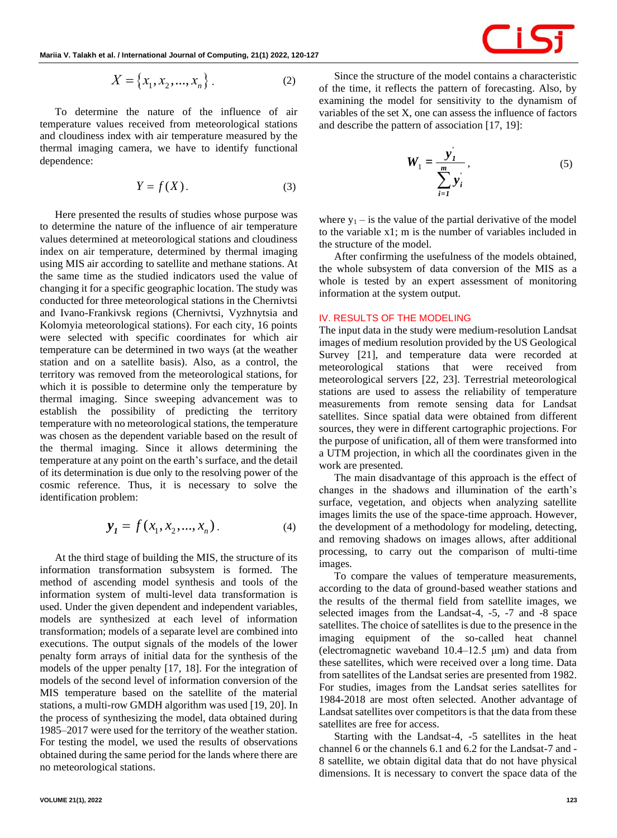$$
X = \{x_1, x_2, ..., x_n\}.
$$
 (2)

To determine the nature of the influence of air temperature values received from meteorological stations and cloudiness index with air temperature measured by the thermal imaging camera, we have to identify functional dependence: { $x_1, x_2, ..., x_n$ }. (2)<br>
e nature of the influence of air<br>
ceived from meteorological stations<br>
with air temperature measured by the<br>
era, we have to identify functional<br>  $Y = f(X)$ . (3)<br>
results of studies whose purpose was

$$
Y = f(X). \tag{3}
$$

**Solution Constrained Some Constrained Some Constrained Some Constrained Some Constrained Some Constrained Some Constrained Some Constrained Some Constrained Some Constrained Some Constrained Some Constrained Some Const** Here presented the results of studies whose purpose was to determine the nature of the influence of air temperature values determined at meteorological stations and cloudiness index on air temperature, determined by thermal imaging using MIS air according to satellite and methane stations. At the same time as the studied indicators used the value of changing it for a specific geographic location. The study was conducted for three meteorological stations in the Chernivtsi and Ivano-Frankivsk regions (Chernivtsi, Vyzhnytsia and Kolomyia meteorological stations). For each city, 16 points were selected with specific coordinates for which air temperature can be determined in two ways (at the weather station and on a satellite basis). Also, as a control, the territory was removed from the meteorological stations, for which it is possible to determine only the temperature by thermal imaging. Since sweeping advancement was to establish the possibility of predicting the territory temperature with no meteorological stations, the temperature was chosen as the dependent variable based on the result of the thermal imaging. Since it allows determining the temperature at any point on the earth's surface, and the detail of its determination is due only to the resolving power of the cosmic reference. Thus, it is necessary to solve the identification problem: experiency is experiency and the study ecorological stations in the Chern gions (Chernivtsi, Vyzhnytsia al stations). For each city, 16 po<br>ecific coordinates for which rmined in two ways (at the wealte basis). Also, as a *x* specific geographic location. The study was<br>ree meteorological stations in the Chernivts:<br>kivsk regions (Chernivtsi, Vyzhnytsia and<br>orological stations). For each city, 16 points<br>with specific coordinates for which ai

$$
\mathbf{y}_1 = f(x_1, x_2, ..., x_n). \tag{4}
$$

At the third stage of building the MIS, the structure of its information transformation subsystem is formed. The method of ascending model synthesis and tools of the information system of multi-level data transformation is used. Under the given dependent and independent variables, models are synthesized at each level of information transformation; models of a separate level are combined into executions. The output signals of the models of the lower penalty form arrays of initial data for the synthesis of the models of the upper penalty [17, 18]. For the integration of models of the second level of information conversion of the MIS temperature based on the satellite of the material stations, a multi-row GMDH algorithm was used [19, 20]. In the process of synthesizing the model, data obtained during 1985–2017 were used for the territory of the weather station. For testing the model, we used the results of observations obtained during the same period for the lands where there are no meteorological stations.

Since the structure of the model contains a characteristic of the time, it reflects the pattern of forecasting. Also, by examining the model for sensitivity to the dynamism of variables of the set X, one can assess the influence of factors and describe the pattern of association [17, 19]:

$$
W_1 = \frac{y'_1}{\sum_{i=1}^m y'_i},\tag{5}
$$

where  $y_1$  – is the value of the partial derivative of the model to the variable x1; m is the number of variables included in the structure of the model.

After confirming the usefulness of the models obtained, the whole subsystem of data conversion of the MIS as a whole is tested by an expert assessment of monitoring information at the system output.

### **IV. RESULTS OF THE MODELING**

The input data in the study were medium-resolution Landsat images of medium resolution provided by the US Geological Survey [21], and temperature data were recorded at meteorological stations that were received from meteorological servers [22, 23]. Terrestrial meteorological stations are used to assess the reliability of temperature measurements from remote sensing data for Landsat satellites. Since spatial data were obtained from different sources, they were in different cartographic projections. For the purpose of unification, all of them were transformed into a UTM projection, in which all the coordinates given in the work are presented.

The main disadvantage of this approach is the effect of changes in the shadows and illumination of the earth's surface, vegetation, and objects when analyzing satellite images limits the use of the space-time approach. However, the development of a methodology for modeling, detecting, and removing shadows on images allows, after additional processing, to carry out the comparison of multi-time images.

To compare the values of temperature measurements, according to the data of ground-based weather stations and the results of the thermal field from satellite images, we selected images from the Landsat-4, -5, -7 and -8 space satellites. The choice of satellites is due to the presence in the imaging equipment of the so-called heat channel (electromagnetic waveband 10.4–12.5 μm) and data from these satellites, which were received over a long time. Data from satellites of the Landsat series are presented from 1982. For studies, images from the Landsat series satellites for 1984-2018 are most often selected. Another advantage of Landsat satellites over competitors is that the data from these satellites are free for access.

Starting with the Landsat-4, -5 satellites in the heat channel 6 or the channels 6.1 and 6.2 for the Landsat-7 and - 8 satellite, we obtain digital data that do not have physical dimensions. It is necessary to convert the space data of the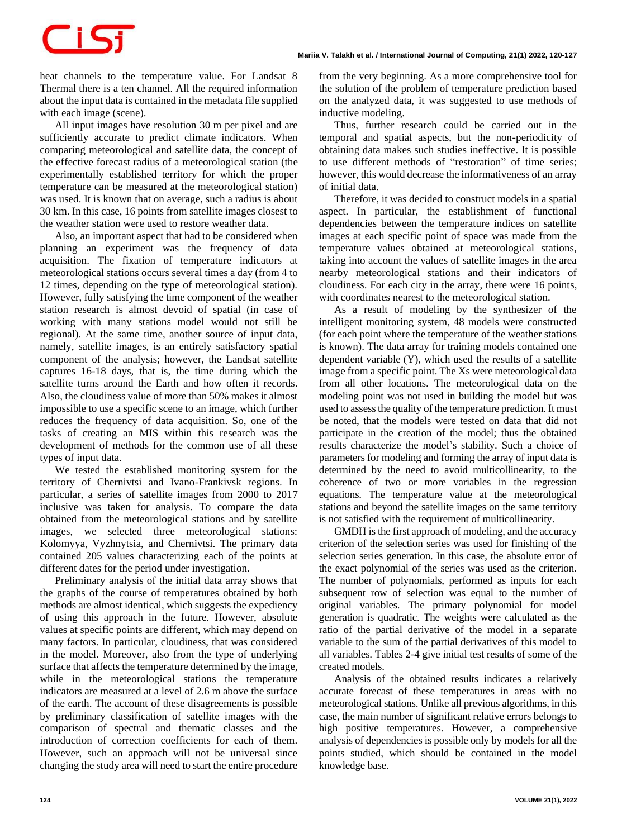# CiSi

heat channels to the temperature value. For Landsat 8 Thermal there is a ten channel. All the required information about the input data is contained in the metadata file supplied with each image (scene).

All input images have resolution 30 m per pixel and are sufficiently accurate to predict climate indicators. When comparing meteorological and satellite data, the concept of the effective forecast radius of a meteorological station (the experimentally established territory for which the proper temperature can be measured at the meteorological station) was used. It is known that on average, such a radius is about 30 km. In this case, 16 points from satellite images closest to the weather station were used to restore weather data.

Also, an important aspect that had to be considered when planning an experiment was the frequency of data acquisition. The fixation of temperature indicators at meteorological stations occurs several times a day (from 4 to 12 times, depending on the type of meteorological station). However, fully satisfying the time component of the weather station research is almost devoid of spatial (in case of working with many stations model would not still be regional). At the same time, another source of input data, namely, satellite images, is an entirely satisfactory spatial component of the analysis; however, the Landsat satellite captures 16-18 days, that is, the time during which the satellite turns around the Earth and how often it records. Also, the cloudiness value of more than 50% makes it almost impossible to use a specific scene to an image, which further reduces the frequency of data acquisition. So, one of the tasks of creating an MIS within this research was the development of methods for the common use of all these types of input data.

We tested the established monitoring system for the territory of Chernivtsi and Ivano-Frankivsk regions. In particular, a series of satellite images from 2000 to 2017 inclusive was taken for analysis. To compare the data obtained from the meteorological stations and by satellite images, we selected three meteorological stations: Kolomyya, Vyzhnytsia, and Chernivtsi. The primary data contained 205 values characterizing each of the points at different dates for the period under investigation.

Preliminary analysis of the initial data array shows that the graphs of the course of temperatures obtained by both methods are almost identical, which suggests the expediency of using this approach in the future. However, absolute values at specific points are different, which may depend on many factors. In particular, cloudiness, that was considered in the model. Moreover, also from the type of underlying surface that affects the temperature determined by the image, while in the meteorological stations the temperature indicators are measured at a level of 2.6 m above the surface of the earth. The account of these disagreements is possible by preliminary classification of satellite images with the comparison of spectral and thematic classes and the introduction of correction coefficients for each of them. However, such an approach will not be universal since changing the study area will need to start the entire procedure from the very beginning. As a more comprehensive tool for the solution of the problem of temperature prediction based on the analyzed data, it was suggested to use methods of inductive modeling.

Thus, further research could be carried out in the temporal and spatial aspects, but the non-periodicity of obtaining data makes such studies ineffective. It is possible to use different methods of "restoration" of time series; however, this would decrease the informativeness of an array of initial data.

Therefore, it was decided to construct models in a spatial aspect. In particular, the establishment of functional dependencies between the temperature indices on satellite images at each specific point of space was made from the temperature values obtained at meteorological stations, taking into account the values of satellite images in the area nearby meteorological stations and their indicators of cloudiness. For each city in the array, there were 16 points, with coordinates nearest to the meteorological station.

As a result of modeling by the synthesizer of the intelligent monitoring system, 48 models were constructed (for each point where the temperature of the weather stations is known). The data array for training models contained one dependent variable (Y), which used the results of a satellite image from a specific point. The Xs were meteorological data from all other locations. The meteorological data on the modeling point was not used in building the model but was used to assess the quality of the temperature prediction. It must be noted, that the models were tested on data that did not participate in the creation of the model; thus the obtained results characterize the model's stability. Such a choice of parameters for modeling and forming the array of input data is determined by the need to avoid multicollinearity, to the coherence of two or more variables in the regression equations. The temperature value at the meteorological stations and beyond the satellite images on the same territory is not satisfied with the requirement of multicollinearity.

GMDH is the first approach of modeling, and the accuracy criterion of the selection series was used for finishing of the selection series generation. In this case, the absolute error of the exact polynomial of the series was used as the criterion. The number of polynomials, performed as inputs for each subsequent row of selection was equal to the number of original variables. The primary polynomial for model generation is quadratic. The weights were calculated as the ratio of the partial derivative of the model in a separate variable to the sum of the partial derivatives of this model to all variables. Tables 2-4 give initial test results of some of the created models.

Analysis of the obtained results indicates a relatively accurate forecast of these temperatures in areas with no meteorological stations. Unlike all previous algorithms, in this case, the main number of significant relative errors belongs to high positive temperatures. However, a comprehensive analysis of dependencies is possible only by models for all the points studied, which should be contained in the model knowledge base.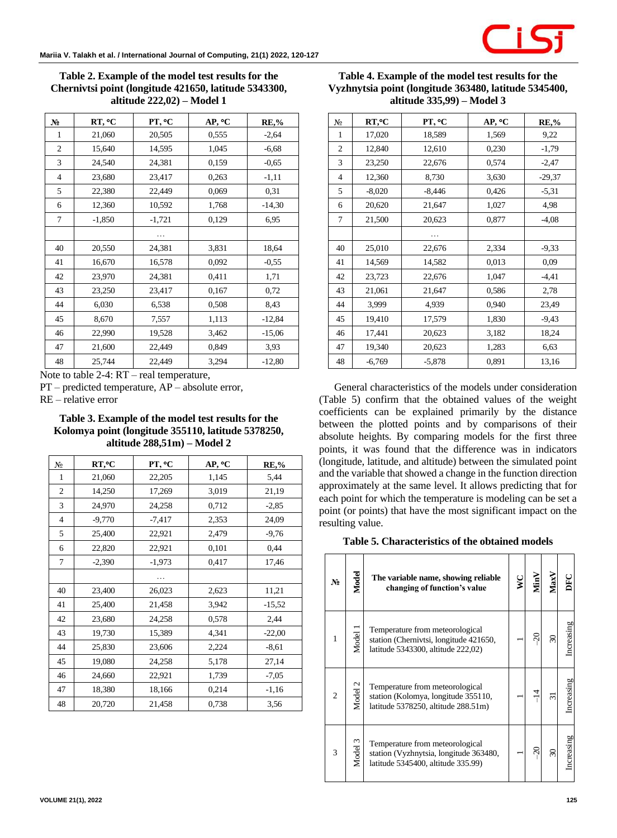**Table 2. Example of the model test results for the Chernivtsi point (longitude 421650, latitude 5343300, altitude 222,02) – Model 1**

| $N_2$          | RT, °C   | PT, °C   | AP, °C | <b>RE,%</b> |
|----------------|----------|----------|--------|-------------|
| 1              | 21,060   | 20,505   | 0,555  | $-2,64$     |
| $\mathfrak{2}$ | 15,640   | 14,595   | 1,045  | $-6,68$     |
| 3              | 24,540   | 24,381   | 0,159  | $-0,65$     |
| $\overline{4}$ | 23,680   | 23,417   | 0,263  | $-1,11$     |
| 5              | 22,380   | 22,449   | 0,069  | 0,31        |
| 6              | 12,360   | 10,592   | 1,768  | $-14,30$    |
| 7              | $-1,850$ | $-1,721$ | 0,129  | 6,95        |
|                |          | .        |        |             |
| 40             | 20,550   | 24,381   | 3,831  | 18,64       |
| 41             | 16,670   | 16,578   | 0,092  | $-0,55$     |
| 42             | 23,970   | 24,381   | 0,411  | 1,71        |
| 43             | 23,250   | 23,417   | 0,167  | 0,72        |
| 44             | 6,030    | 6,538    | 0,508  | 8,43        |
| 45             | 8,670    | 7,557    | 1,113  | $-12,84$    |
| 46             | 22,990   | 19,528   | 3,462  | $-15,06$    |
| 47             | 21,600   | 22,449   | 0,849  | 3,93        |
| 48             | 25,744   | 22,449   | 3,294  | $-12,80$    |

Note to table 2-4: RT – real temperature,

PT – predicted temperature, AP – absolute error,

RE – relative error

**Table 3. Example of the model test results for the Kolomya point (longitude 355110, latitude 5378250, altitude 288,51m) – Model 2**

| N <sub>2</sub> | RT,°C    | PT, °C   | AP, °C | <b>RE,%</b> |
|----------------|----------|----------|--------|-------------|
| 1              | 21,060   | 22,205   | 1,145  | 5,44        |
| 2              | 14,250   | 17,269   | 3,019  | 21,19       |
| 3              | 24,970   | 24,258   | 0.712  | $-2,85$     |
| 4              | $-9,770$ | $-7,417$ | 2,353  | 24,09       |
| 5              | 25,400   | 22,921   | 2,479  | $-9,76$     |
| 6              | 22,820   | 22,921   | 0,101  | 0,44        |
| 7              | $-2,390$ | $-1,973$ | 0,417  | 17,46       |
|                |          |          |        |             |
| 40             | 23,400   | 26,023   | 2,623  | 11,21       |
| 41             | 25,400   | 21,458   | 3,942  | $-15,52$    |
| 42             | 23,680   | 24,258   | 0,578  | 2,44        |
| 43             | 19,730   | 15,389   | 4,341  | $-22,00$    |
| 44             | 25,830   | 23,606   | 2,224  | $-8,61$     |
| 45             | 19,080   | 24,258   | 5,178  | 27,14       |
| 46             | 24,660   | 22,921   | 1,739  | $-7,05$     |
| 47             | 18,380   | 18,166   | 0,214  | $-1,16$     |
| 48             | 20,720   | 21,458   | 0.738  | 3,56        |

| Table 4. Example of the model test results for the    |
|-------------------------------------------------------|
| Vyzhnytsia point (longitude 363480, latitude 5345400, |
| altitude 335,99) – Model 3                            |

| $N_2$          | RT,°C    | PT, °C   | AP, °C | <b>RE,%</b> |
|----------------|----------|----------|--------|-------------|
| 1              | 17,020   | 18,589   | 1,569  | 9,22        |
| 2              | 12,840   | 12,610   | 0,230  | $-1,79$     |
| 3              | 23,250   | 22,676   | 0,574  | $-2,47$     |
| $\overline{4}$ | 12,360   | 8,730    | 3,630  | $-29,37$    |
| 5              | $-8,020$ | $-8,446$ | 0,426  | $-5,31$     |
| 6              | 20,620   | 21,647   | 1,027  | 4,98        |
| 7              | 21,500   | 20,623   | 0,877  | $-4,08$     |
|                |          | .        |        |             |
| 40             | 25,010   | 22,676   | 2,334  | $-9,33$     |
| 41             | 14,569   | 14,582   | 0.013  | 0.09        |
| 42             | 23,723   | 22,676   | 1,047  | $-4,41$     |
| 43             | 21,061   | 21,647   | 0,586  | 2,78        |
| 44             | 3,999    | 4,939    | 0.940  | 23,49       |
| 45             | 19,410   | 17,579   | 1,830  | $-9,43$     |
| 46             | 17,441   | 20,623   | 3,182  | 18,24       |
| 47             | 19,340   | 20,623   | 1,283  | 6,63        |
| 48             | $-6,769$ | $-5,878$ | 0,891  | 13,16       |

General characteristics of the models under consideration (Table 5) confirm that the obtained values of the weight coefficients can be explained primarily by the distance between the plotted points and by comparisons of their absolute heights. By comparing models for the first three points, it was found that the difference was in indicators (longitude, latitude, and altitude) between the simulated point and the variable that showed a change in the function direction approximately at the same level. It allows predicting that for each point for which the temperature is modeling can be set a point (or points) that have the most significant impact on the resulting value.

#### **Table 5. Characteristics of the obtained models**

| N <sub>0</sub> | Model   | The variable name, showing reliable<br>changing of function's value                                             | MinV | VlaxV | DFC        |
|----------------|---------|-----------------------------------------------------------------------------------------------------------------|------|-------|------------|
| 1              | Model 1 | Temperature from meteorological<br>station (Chernivtsi, longitude 421650,<br>latitude 5343300, altitude 222,02) | ສ    | ≈     | Increasing |
| $\overline{c}$ | Model 2 | Temperature from meteorological<br>station (Kolomya, longitude 355110,<br>latitude 5378250, altitude 288.51m)   | ⋣    | ಸ     | Increasing |
| 3              | Model 3 | Temperature from meteorological<br>station (Vyzhnytsia, longitude 363480,<br>latitude 5345400, altitude 335.99) | ສ    | వి    | Increasing |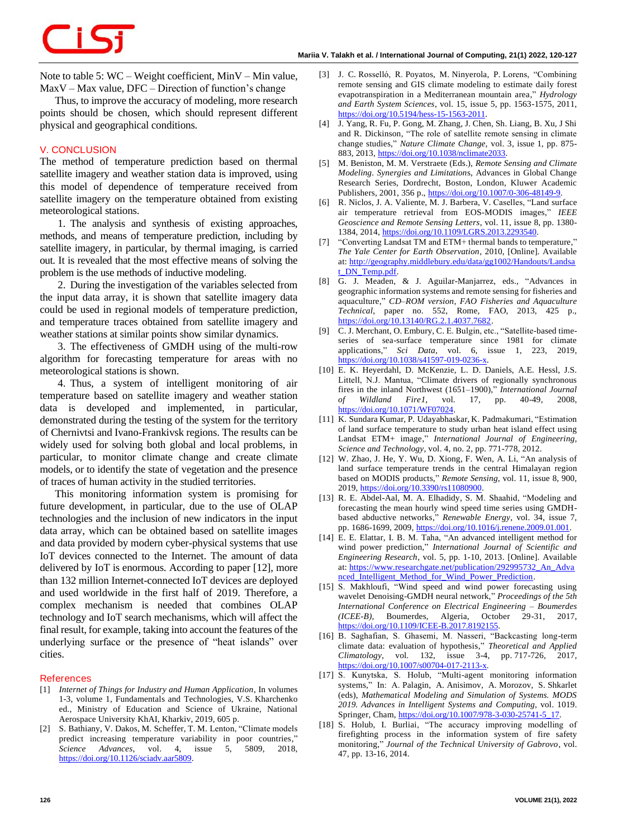CiSi

Note to table 5: WC – Weight coefficient, MinV – Min value,  $MaxV - Max$  value, DFC – Direction of function's change

Thus, to improve the accuracy of modeling, more research points should be chosen, which should represent different physical and geographical conditions.

### **V. CONCLUSION**

The method of temperature prediction based on thermal satellite imagery and weather station data is improved, using this model of dependence of temperature received from satellite imagery on the temperature obtained from existing meteorological stations.

1. The analysis and synthesis of existing approaches, methods, and means of temperature prediction, including by satellite imagery, in particular, by thermal imaging, is carried out. It is revealed that the most effective means of solving the problem is the use methods of inductive modeling.

2. During the investigation of the variables selected from the input data array, it is shown that satellite imagery data could be used in regional models of temperature prediction, and temperature traces obtained from satellite imagery and weather stations at similar points show similar dynamics.

3. The effectiveness of GMDH using of the multi-row algorithm for forecasting temperature for areas with no meteorological stations is shown.

4. Thus, a system of intelligent monitoring of air temperature based on satellite imagery and weather station data is developed and implemented, in particular, demonstrated during the testing of the system for the territory of Chernivtsi and Ivano-Frankivsk regions. The results can be widely used for solving both global and local problems, in particular, to monitor climate change and create climate models, or to identify the state of vegetation and the presence of traces of human activity in the studied territories.

This monitoring information system is promising for future development, in particular, due to the use of OLAP technologies and the inclusion of new indicators in the input data array, which can be obtained based on satellite images and data provided by modern cyber-physical systems that use IoT devices connected to the Internet. The amount of data delivered by IoT is enormous. According to paper [12], more than 132 million Internet-connected IoT devices are deployed and used worldwide in the first half of 2019. Therefore, a complex mechanism is needed that combines OLAP technology and IoT search mechanisms, which will affect the final result, for example, taking into account the features of the underlying surface or the presence of "heat islands" over cities.

#### **References**

- [1] *Internet of Things for Industry and Human Application*, In volumes 1-3, volume 1, Fundamentals and Technologies, V.S. Kharchenko ed., Ministry of Education and Science of Ukraine, National Aerospace University KhAI, Kharkiv, 2019, 605 p.
- [2] S. Bathiany, V. Dakos, M. Scheffer, T. M. Lenton, "Climate models predict increasing temperature variability in poor countries," *Science Advances*, vol. 4, issue 5, 5809, 2018, [https://doi.org/10.1126/sciadv.aar5809.](https://doi.org/10.1126/sciadv.aar5809)
- [3] J. C. Rosselló, R. Poyatos, M. Ninyerola, P. Lorens, "Combining remote sensing and GIS climate modeling to estimate daily forest evapotranspiration in a Mediterranean mountain area," *Hydrology and Earth System Sciences*, vol. 15, issue 5, pp. 1563-1575, 2011, [https://doi.org/10.5194/hess-15-1563-2011.](https://doi.org/10.5194/hess-15-1563-2011)
- [4] J. Yang, R. Fu, P. Gong, M. Zhang, J. Chen, Sh. Liang, B. Xu, J Shi and R. Dickinson, "The role of satellite remote sensing in climate change studies," *Nature Climate Change,* vol. 3, issue 1, pp. 875- 883, 2013, [https://doi.org/10.1038/nclimate2033.](https://doi.org/10.1038/nclimate2033)
- [5] M. Beniston, M. M. Verstraete (Eds.), *Remote Sensing and Climate Modeling. Synergies and Limitation*s, Advances in Global Change Research Series, Dordrecht, Boston, London, Kluwer Academic Publishers, 2001, 356 p., [https://doi.org/10.1007/0-306-48149-9.](https://doi.org/10.1007/0-306-48149-9)
- [6] R. Niclos, J. A. Valiente, M. J. Barbera, V. Caselles, "Land surface air temperature retrieval from EOS-MODIS images," *IEEE Geoscience and Remote Sensing Letters*, vol. 11, issue 8, pp. 1380- 1384, 2014, [https://doi.org/10.1109/LGRS.2013.2293540.](https://doi.org/10.1109/LGRS.2013.2293540)
- [7] "Converting Landsat TM and ETM+ thermal bands to temperature," *The Yale Center for Earth Observation*, 2010, [Online]. Available at: [http://geography.middlebury.edu/data/gg1002/Handouts/Landsa](http://geography.middlebury.edu/data/gg1002/Handouts/Landsat_DN_Temp.pdf) [t\\_DN\\_Temp.pdf.](http://geography.middlebury.edu/data/gg1002/Handouts/Landsat_DN_Temp.pdf)
- [8] G. J. Meaden, & J. Aguilar-Manjarrez, eds., "Advances in geographic information systems and remote sensing for fisheries and aquaculture," *CD–ROM version, FAO Fisheries and Aquaculture Technical*, paper no. 552, Rome, FAO, 2013, 425 p., [https://doi.org/10.13140/RG.2.1.4037.7682.](https://doi.org/10.13140/RG.2.1.4037.7682)
- [9] C. J. Merchant, O. Embury, C. E. Bulgin, etc., "Satellite-based timeseries of sea-surface temperature since 1981 for climate applications," *Sci Data*, vol. 6, issue 1, 223, 2019, [https://doi.org/10.1038/s41597-019-0236-x.](https://doi.org/10.1038/s41597-019-0236-x)
- [10] E. K. Heyerdahl, D. McKenzie, L. D. Daniels, A.E. Hessl, J.S. Littell, N.J. Mantua, "Climate drivers of regionally synchronous fires in the inland Northwest (1651–1900)," *International Journal of Wildland Fire1*, vol. 17, pp. 40-49, 2008, [https://doi.org/10.1071/WF07024.](https://doi.org/10.1071/WF07024)
- [11] K. Sundara Kumar, P. Udayabhaskar, K. Padmakumari, "Estimation of land surface temperature to study urban heat island effect using Landsat ETM+ image," *International Journal of Engineering, Science and Technology,* vol. 4, no. 2, pp. 771-778, 2012.
- [12] W. Zhao, J. He, Y. Wu, D. Xiong, F. Wen, A. Li, "An analysis of land surface temperature trends in the central Himalayan region based on MODIS products," *Remote Sensing*, vol. 11, issue 8, 900, 2019, [https://doi.org/10.3390/rs11080900.](https://doi.org/10.3390/rs11080900)
- [13] R. E. Abdel-Aal, M. A. Elhadidy, S. M. Shaahid, "Modeling and forecasting the mean hourly wind speed time series using GMDHbased abductive networks," *Renewable Energy*, vol. 34, issue 7, pp. 1686-1699, 2009[, https://doi.org/10.1016/j.renene.2009.01.001.](https://doi.org/10.1016/j.renene.2009.01.001)
- [14] E. E. Elattar, I. B. M. Taha, "An advanced intelligent method for wind power prediction," *International Journal of Scientific and Engineering Research*, vol. 5, pp. 1-10, 2013. [Online]. Available at: [https://www.researchgate.net/publication/292995732\\_An\\_Adva](https://www.researchgate.net/publication/292995732_An_Advanced_Intelligent_Method_for_Wind_Power_Prediction) [nced\\_Intelligent\\_Method\\_for\\_Wind\\_Power\\_Prediction.](https://www.researchgate.net/publication/292995732_An_Advanced_Intelligent_Method_for_Wind_Power_Prediction)
- [15] S. Makhloufi, "Wind speed and wind power forecasting using wavelet Denoising-GMDH neural network," *Proceedings of the 5th International Conference on Electrical Engineering – [Boumerdes](https://ieeexplore.ieee.org/xpl/conhome/8125121/proceeding)  [\(ICEE-B\)](https://ieeexplore.ieee.org/xpl/conhome/8125121/proceeding)*, Boumerdes, Algeria, October 29-31, 2017, [https://doi.org/10.1109/ICEE-B.2017.8192155.](https://doi.org/10.1109/ICEE-B.2017.8192155)
- [16] B. Saghafian, S. Ghasemi, M. Nasseri, "Backcasting long-term climate data: evaluation of hypothesis," *Theoretical and Applied Climatology*, vol. 132, issue 3-4, pp. 717-726, 2017, [https://doi.org/10.1007/s00704-017-2113-x.](https://doi.org/10.1007/s00704-017-2113-x)
- [17] S. Kunytska, S. Holub, "Multi-agent monitoring information systems," In: A. Palagin, A. Anisimov, A. Morozov, S. Shkarlet (eds), *Mathematical Modeling and Simulation of Systems. MODS 2019. Advances in Intelligent Systems and Computing*, vol. 1019. Springer, Cham, [https://doi.org/10.1007/978-3-030-25741-5\\_17.](https://doi.org/10.1007/978-3-030-25741-5_17)
- [18] S. Holub, I. Burliai, "The accuracy improving modelling of firefighting process in the information system of fire safety monitoring," *Journal of the Technical University of Gabrovo*, vol. 47, pp. 13-16, 2014.